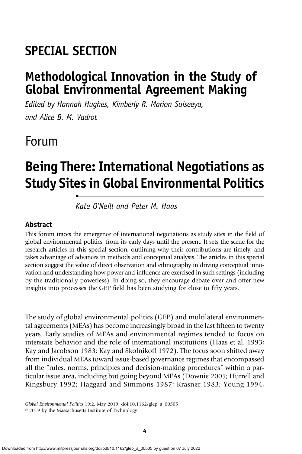# SPECIAL SECTION

•

# Methodological Innovation in the Study of Global Environmental Agreement Making

Edited by Hannah Hughes, Kimberly R. Marion Suiseeya, and Alice B. M. Vadrot

# Forum

# Being There: International Negotiations as Study Sites in Global Environmental Politics

Kate O'Neill and Peter M. Haas

### Abstract

This forum traces the emergence of international negotiations as study sites in the field of global environmental politics, from its early days until the present. It sets the scene for the research articles in this special section, outlining why their contributions are timely, and takes advantage of advances in methods and conceptual analysis. The articles in this special section suggest the value of direct observation and ethnography in driving conceptual innovation and understanding how power and influence are exercised in such settings (including by the traditionally powerless). In doing so, they encourage debate over and offer new insights into processes the GEP field has been studying for close to fifty years.

The study of global environmental politics (GEP) and multilateral environmental agreements (MEAs) has become increasingly broad in the last fifteen to twenty years. Early studies of MEAs and environmental regimes tended to focus on interstate behavior and the role of international institutions (Haas et al. 1993; Kay and Jacobson 1983; Kay and Skolnikoff 1972). The focus soon shifted away from individual MEAs toward issue-based governance regimes that encompassed all the "rules, norms, principles and decision-making procedures" within a particular issue area, including but going beyond MEAs (Downie 2005; Hurrell and Kingsbury 1992; Haggard and Simmons 1987; Krasner 1983; Young 1994,

Global Environmental Politics 19:2, May 2019, doi:10.1162/glep\_a\_00505

© 2019 by the Massachusetts Institute of Technology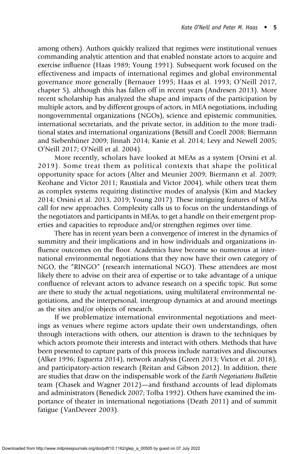among others). Authors quickly realized that regimes were institutional venues commanding analytic attention and that enabled nonstate actors to acquire and exercise influence (Haas 1989; Young 1991). Subsequent work focused on the effectiveness and impacts of international regimes and global environmental governance more generally (Bernauer 1995; Haas et al. 1993; O'Neill 2017, chapter 5), although this has fallen off in recent years (Andresen 2013). More recent scholarship has analyzed the shape and impacts of the participation by multiple actors, and by different groups of actors, in MEA negotiations, including nongovernmental organizations (NGOs), science and epistemic communities, international secretariats, and the private sector, in addition to the more traditional states and international organizations (Betsill and Corell 2008; Biermann and Siebenhüner 2009; Jinnah 2014; Kanie et al. 2014; Levy and Newell 2005; O'Neill 2017; O'Neill et al. 2004).

More recently, scholars have looked at MEAs as a system (Orsini et al. 2019). Some treat them as political contexts that shape the political opportunity space for actors (Alter and Meunier 2009; Biermann et al. 2009; Keohane and Victor 2011; Raustiala and Victor 2004), while others treat them as complex systems requiring distinctive modes of analysis (Kim and Mackey 2014; Orsini et al. 2013, 2019; Young 2017). These intriguing features of MEAs call for new approaches. Complexity calls us to focus on the understandings of the negotiators and participants in MEAs, to get a handle on their emergent properties and capacities to reproduce and/or strengthen regimes over time.

There has in recent years been a convergence of interest in the dynamics of summitry and their implications and in how individuals and organizations influence outcomes on the floor. Academics have become so numerous at international environmental negotiations that they now have their own category of NGO, the "RINGO" (research international NGO). These attendees are most likely there to advise on their area of expertise or to take advantage of a unique confluence of relevant actors to advance research on a specific topic. But some are there to study the actual negotiations, using multilateral environmental negotiations, and the interpersonal, intergroup dynamics at and around meetings as the sites and/or objects of research.

If we problematize international environmental negotiations and meetings as venues where regime actors update their own understandings, often through interactions with others, our attention is drawn to the techniques by which actors promote their interests and interact with others. Methods that have been presented to capture parts of this process include narratives and discourses (Alker 1996; Esguerra 2014), network analysis (Green 2013; Victor et al. 2018), and participatory-action research (Reitan and Gibson 2012). In addition, there are studies that draw on the indispensable work of the Earth Negotiations Bulletin team (Chasek and Wagner 2012)—and firsthand accounts of lead diplomats and administrators (Benedick 2007; Tolba 1992). Others have examined the importance of theater in international negotiations (Death 2011) and of summit fatigue (VanDeveer 2003).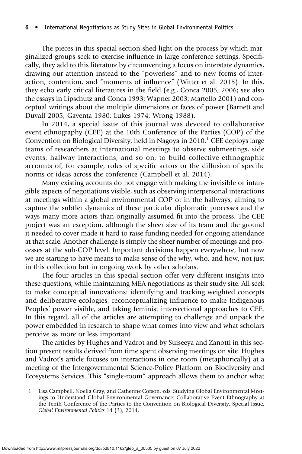The pieces in this special section shed light on the process by which marginalized groups seek to exercise influence in large conference settings. Specifically, they add to this literature by circumventing a focus on interstate dynamics, drawing our attention instead to the "powerless" and to new forms of interaction, contention, and "moments of influence" (Witter et al. 2015). In this, they echo early critical literatures in the field (e.g., Conca 2005, 2006; see also the essays in Lipschutz and Conca 1993; Wapner 2003; Martello 2001) and conceptual writings about the multiple dimensions or faces of power (Barnett and Duvall 2005; Gaventa 1980; Lukes 1974; Wrong 1988).

In 2014, a special issue of this journal was devoted to collaborative event ethnography (CEE) at the 10th Conference of the Parties (COP) of the Convention on Biological Diversity, held in Nagoya in  $2010$ .<sup>1</sup> CEE deploys large teams of researchers at international meetings to observe submeetings, side events, hallway interactions, and so on, to build collective ethnographic accounts of, for example, roles of specific actors or the diffusion of specific norms or ideas across the conference (Campbell et al. 2014).

Many existing accounts do not engage with making the invisible or intangible aspects of negotiations visible, such as observing interpersonal interactions at meetings within a global environmental COP or in the hallways, aiming to capture the subtler dynamics of these particular diplomatic processes and the ways many more actors than originally assumed fit into the process. The CEE project was an exception, although the sheer size of its team and the ground it needed to cover made it hard to raise funding needed for ongoing attendance at that scale. Another challenge is simply the sheer number of meetings and processes at the sub-COP level. Important decisions happen everywhere, but now we are starting to have means to make sense of the why, who, and how, not just in this collection but in ongoing work by other scholars.

The four articles in this special section offer very different insights into these questions, while maintaining MEA negotiations as their study site. All seek to make conceptual innovations: identifying and tracking weighted concepts and deliberative ecologies, reconceptualizing influence to make Indigenous Peoples' power visible, and taking feminist intersectional approaches to CEE. In this regard, all of the articles are attempting to challenge and unpack the power embedded in research to shape what comes into view and what scholars perceive as more or less important.

The articles by Hughes and Vadrot and by Suiseeya and Zanotti in this section present results derived from time spent observing meetings on site. Hughes and Vadrot's article focuses on interactions in one room (metaphorically) at a meeting of the Intergovernmental Science-Policy Platform on Biodiversity and Ecosystems Services. This "single-room" approach allows them to anchor what

<sup>1.</sup> Lisa Campbell, Noella Gray, and Catherine Corson, eds. Studying Global Environmental Meetings to Understand Global Environmental Governance: Collaborative Event Ethnography at the Tenth Conference of the Parties to the Convention on Biological Diversity, Special Issue, Global Environmental Politics 14 (3), 2014.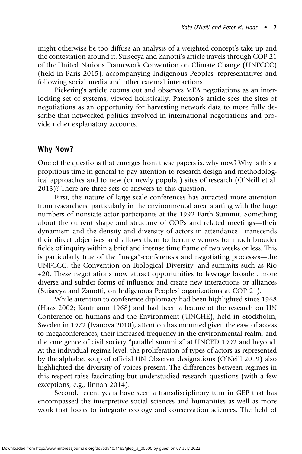might otherwise be too diffuse an analysis of a weighted concept's take-up and the contestation around it. Suiseeya and Zanotti's article travels through COP 21 of the United Nations Framework Convention on Climate Change (UNFCCC) (held in Paris 2015), accompanying Indigenous Peoples' representatives and following social media and other external interactions.

Pickering's article zooms out and observes MEA negotiations as an interlocking set of systems, viewed holistically. Paterson's article sees the sites of negotiations as an opportunity for harvesting network data to more fully describe that networked politics involved in international negotiations and provide richer explanatory accounts.

### Why Now?

One of the questions that emerges from these papers is, why now? Why is this a propitious time in general to pay attention to research design and methodological approaches and to new (or newly popular) sites of research (O'Neill et al. 2013)? There are three sets of answers to this question.

First, the nature of large-scale conferences has attracted more attention from researchers, particularly in the environmental area, starting with the huge numbers of nonstate actor participants at the 1992 Earth Summit. Something about the current shape and structure of COPs and related meetings—their dynamism and the density and diversity of actors in attendance—transcends their direct objectives and allows them to become venues for much broader fields of inquiry within a brief and intense time frame of two weeks or less. This is particularly true of the "mega"-conferences and negotiating processes—the UNFCCC, the Convention on Biological Diversity, and summits such as Rio +20. These negotiations now attract opportunities to leverage broader, more diverse and subtler forms of influence and create new interactions or alliances (Suiseeya and Zanotti, on Indigenous Peoples' organizations at COP 21).

While attention to conference diplomacy had been highlighted since 1968 (Haas 2002; Kaufmann 1968) and had been a feature of the research on UN Conference on humans and the Environment (UNCHE), held in Stockholm, Sweden in 1972 (Ivanova 2010), attention has mounted given the ease of access to megaconferences, their increased frequency in the environmental realm, and the emergence of civil society "parallel summits" at UNCED 1992 and beyond. At the individual regime level, the proliferation of types of actors as represented by the alphabet soup of official UN Observer designations (O'Neill 2019) also highlighted the diversity of voices present. The differences between regimes in this respect raise fascinating but understudied research questions (with a few exceptions, e.g., Jinnah 2014).

Second, recent years have seen a transdisciplinary turn in GEP that has encompassed the interpretive social sciences and humanities as well as more work that looks to integrate ecology and conservation sciences. The field of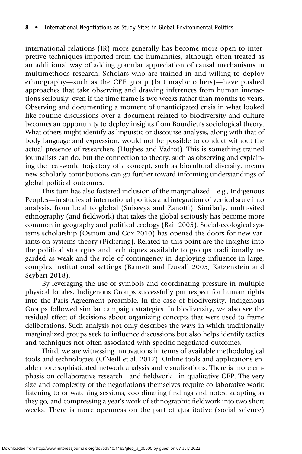international relations (IR) more generally has become more open to interpretive techniques imported from the humanities, although often treated as an additional way of adding granular appreciation of causal mechanisms in multimethods research. Scholars who are trained in and willing to deploy ethnography—such as the CEE group (but maybe others)—have pushed approaches that take observing and drawing inferences from human interactions seriously, even if the time frame is two weeks rather than months to years. Observing and documenting a moment of unanticipated crisis in what looked like routine discussions over a document related to biodiversity and culture becomes an opportunity to deploy insights from Bourdieu's sociological theory. What others might identify as linguistic or discourse analysis, along with that of body language and expression, would not be possible to conduct without the actual presence of researchers (Hughes and Vadrot). This is something trained journalists can do, but the connection to theory, such as observing and explaining the real-world trajectory of a concept, such as biocultural diversity, means new scholarly contributions can go further toward informing understandings of global political outcomes.

This turn has also fostered inclusion of the marginalized—e.g., Indigenous Peoples—in studies of international politics and integration of vertical scale into analysis, from local to global (Suiseeya and Zanotti). Similarly, multi-sited ethnography (and fieldwork) that takes the global seriously has become more common in geography and political ecology (Bair 2005). Social-ecological systems scholarship (Ostrom and Cox 2010) has opened the doors for new variants on systems theory (Pickering). Related to this point are the insights into the political strategies and techniques available to groups traditionally regarded as weak and the role of contingency in deploying influence in large, complex institutional settings (Barnett and Duvall 2005; Katzenstein and Seybert 2018).

By leveraging the use of symbols and coordinating pressure in multiple physical locales, Indigenous Groups successfully put respect for human rights into the Paris Agreement preamble. In the case of biodiversity, Indigenous Groups followed similar campaign strategies. In biodiversity, we also see the residual effect of decisions about organizing concepts that were used to frame deliberations. Such analysis not only describes the ways in which traditionally marginalized groups seek to influence discussions but also helps identify tactics and techniques not often associated with specific negotiated outcomes.

Third, we are witnessing innovations in terms of available methodological tools and technologies (O'Neill et al. 2017). Online tools and applications enable more sophisticated network analysis and visualizations. There is more emphasis on collaborative research—and fieldwork—in qualitative GEP. The very size and complexity of the negotiations themselves require collaborative work: listening to or watching sessions, coordinating findings and notes, adapting as they go, and compressing a year's work of ethnographic fieldwork into two short weeks. There is more openness on the part of qualitative (social science)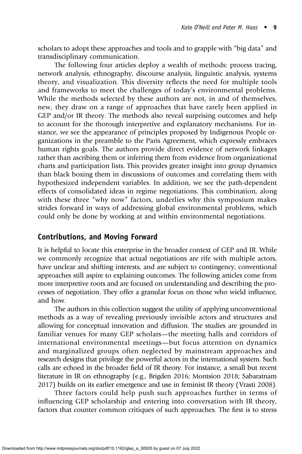scholars to adopt these approaches and tools and to grapple with "big data" and transdisciplinary communication.

The following four articles deploy a wealth of methods: process tracing, network analysis, ethnography, discourse analysis, linguistic analysis, systems theory, and visualization. This diversity reflects the need for multiple tools and frameworks to meet the challenges of today's environmental problems. While the methods selected by these authors are not, in and of themselves, new, they draw on a range of approaches that have rarely been applied in GEP and/or IR theory. The methods also reveal surprising outcomes and help to account for the thorough interpretive and explanatory mechanisms. For instance, we see the appearance of principles proposed by Indigenous People organizations in the preamble to the Paris Agreement, which expressly embraces human rights goals. The authors provide direct evidence of network linkages rather than ascribing them or inferring them from evidence from organizational charts and participation lists. This provides greater insight into group dynamics than black boxing them in discussions of outcomes and correlating them with hypothesized independent variables. In addition, we see the path-dependent effects of consolidated ideas in regime negotiations. This combination, along with these three "why now" factors, underlies why this symposium makes strides forward in ways of addressing global environmental problems, which could only be done by working at and within environmental negotiations.

### Contributions, and Moving Forward

It is helpful to locate this enterprise in the broader context of GEP and IR. While we commonly recognize that actual negotiations are rife with multiple actors, have unclear and shifting interests, and are subject to contingency, conventional approaches still aspire to explaining outcomes. The following articles come from more interpretive roots and are focused on understanding and describing the processes of negotiation. They offer a granular focus on those who wield influence, and how.

The authors in this collection suggest the utility of applying unconventional methods as a way of revealing previously invisible actors and structures and allowing for conceptual innovation and diffusion. The studies are grounded in familiar venues for many GEP scholars—the meeting halls and corridors of international environmental meetings—but focus attention on dynamics and marginalized groups often neglected by mainstream approaches and research designs that privilege the powerful actors in the international system. Such calls are echoed in the broader field of IR theory. For instance, a small but recent literature in IR on ethnography (e.g., Brigden 2016; Montsion 2018; Sabaratnam 2017) builds on its earlier emergence and use in feminist IR theory (Vrasti 2008).

Three factors could help push such approaches further in terms of influencing GEP scholarship and entering into conversation with IR theory, factors that counter common critiques of such approaches. The first is to stress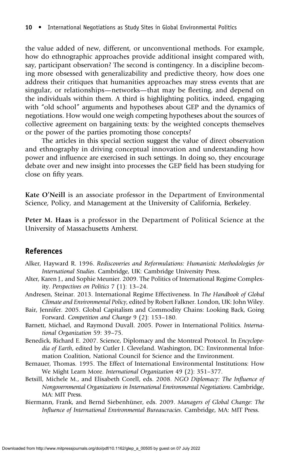the value added of new, different, or unconventional methods. For example, how do ethnographic approaches provide additional insight compared with, say, participant observation? The second is contingency. In a discipline becoming more obsessed with generalizability and predictive theory, how does one address their critiques that humanities approaches may stress events that are singular, or relationships—networks—that may be fleeting, and depend on the individuals within them. A third is highlighting politics, indeed, engaging with "old school" arguments and hypotheses about GEP and the dynamics of negotiations. How would one weigh competing hypotheses about the sources of collective agreement on bargaining texts: by the weighted concepts themselves or the power of the parties promoting those concepts?

The articles in this special section suggest the value of direct observation and ethnography in driving conceptual innovation and understanding how power and influence are exercised in such settings. In doing so, they encourage debate over and new insight into processes the GEP field has been studying for close on fifty years.

Kate O'Neill is an associate professor in the Department of Environmental Science, Policy, and Management at the University of California, Berkeley.

Peter M. Haas is a professor in the Department of Political Science at the University of Massachusetts Amherst.

#### References

- Alker, Hayward R. 1996. Rediscoveries and Reformulations: Humanistic Methodologies for International Studies. Cambridge, UK: Cambridge University Press.
- Alter, Karen J., and Sophie Meunier. 2009. The Politics of International Regime Complexity. Perspectives on Politics 7 (1): 13–24.
- Andresen, Steinar. 2013. International Regime Effectiveness. In The Handbook of Global Climate and Environmental Policy, edited by Robert Falkner. London, UK: John Wiley.
- Bair, Jennifer. 2005. Global Capitalism and Commodity Chains: Looking Back, Going Forward. Competition and Change 9 (2): 153–180.
- Barnett, Michael, and Raymond Duvall. 2005. Power in International Politics. International Organization 59: 39–75.
- Benedick, Richard E. 2007. Science, Diplomacy and the Montreal Protocol. In Encyclopedia of Earth, edited by Cutler J. Cleveland. Washington, DC: Environmental Information Coalition, National Council for Science and the Environment.
- Bernauer, Thomas. 1995. The Effect of International Environmental Institutions: How We Might Learn More. International Organization 49 (2): 351–377.
- Betsill, Michele M., and Elisabeth Corell, eds. 2008. NGO Diplomacy: The Influence of Nongovernmental Organizations in International Environmental Negotiations. Cambridge, MA: MIT Press.
- Biermann, Frank, and Bernd Siebenhüner, eds. 2009. Managers of Global Change: The Influence of International Environmental Bureaucracies. Cambridge, MA: MIT Press.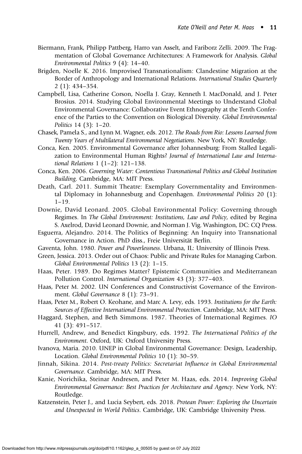- Biermann, Frank, Philipp Pattberg, Harro van Asselt, and Fariborz Zelli. 2009. The Fragmentation of Global Governance Architectures: A Framework for Analysis. Global Environmental Politics 9 (4): 14–40.
- Brigden, Noelle K. 2016. Improvised Transnationalism: Clandestine Migration at the Border of Anthropology and International Relations. International Studies Quarterly 2 (1): 434–354.
- Campbell, Lisa, Catherine Corson, Noella J. Gray, Kenneth I. MacDonald, and J. Peter Brosius. 2014. Studying Global Environmental Meetings to Understand Global Environmental Governance: Collaborative Event Ethnography at the Tenth Conference of the Parties to the Convention on Biological Diversity. Global Environmental Politics 14 (3): 1–20.
- Chasek, Pamela S., and Lynn M. Wagner, eds. 2012. The Roads from Rio: Lessons Learned from Twenty Years of Multilateral Environmental Negotiations. New York, NY: Routledge.
- Conca, Ken. 2005. Environmental Governance after Johannesburg: From Stalled Legalization to Environmental Human Rights? Journal of International Law and International Relations 1 (1–2): 121–138.
- Conca, Ken. 2006. Governing Water: Contentious Transnational Politics and Global Institution Building. Cambridge, MA: MIT Press.
- Death, Carl. 2011. Summit Theatre: Exemplary Governmentality and Environmental Diplomacy in Johannesburg and Copenhagen. Environmental Politics 20 (1): 1–19.
- Downie, David Leonard. 2005. Global Environmental Policy: Governing through Regimes. In The Global Environment: Institutions, Law and Policy, edited by Regina S. Axelrod, David Leonard Downie, and Norman J. Vig. Washington, DC: CQ Press.
- Esguerra, Alejandro. 2014. The Politics of Beginning: An Inquiry into Transnational Governance in Action. PhD diss., Freie Universität Berlin.
- Gaventa, John. 1980. Power and Powerlessness. Urbana, IL: University of Illinois Press.
- Green, Jessica. 2013. Order out of Chaos: Public and Private Rules for Managing Carbon. Global Environmental Politics 13 (2): 1–15.
- Haas, Peter. 1989. Do Regimes Matter? Epistemic Communities and Mediterranean Pollution Control. International Organization 43 (3): 377–403.
- Haas, Peter M. 2002. UN Conferences and Constructivist Governance of the Environment. Global Governance 8 (1): 73-91.
- Haas, Peter M., Robert O. Keohane, and Marc A. Levy, eds. 1993. Institutions for the Earth: Sources of Effective International Environmental Protection. Cambridge, MA: MIT Press.
- Haggard, Stephen, and Beth Simmons. 1987. Theories of International Regimes. IO 41 (3): 491–517.
- Hurrell, Andrew, and Benedict Kingsbury, eds. 1992. The International Politics of the Environment. Oxford, UK: Oxford University Press.
- Ivanova, Maria. 2010. UNEP in Global Environmental Governance: Design, Leadership, Location. Global Environmental Politics 10 (1): 30–59.
- Jinnah, Sikina. 2014. Post-treaty Politics: Secretariat Influence in Global Environmental Governance. Cambridge, MA: MIT Press.
- Kanie, Norichika, Steinar Andresen, and Peter M. Haas, eds. 2014. Improving Global Environmental Governance: Best Practices for Architecture and Agency. New York, NY: Routledge.
- Katzenstein, Peter J., and Lucia Seybert, eds. 2018. Protean Power: Exploring the Uncertain and Unexpected in World Politics. Cambridge, UK: Cambridge University Press.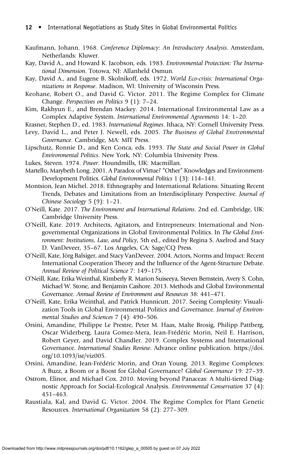- Kaufmann, Johann. 1968. Conference Diplomacy: An Introductory Analysis. Amsterdam, Netherlands: Kluwer.
- Kay, David A., and Howard K. Jacobson, eds. 1983. Environmental Protection: The International Dimension. Totowa, NJ: Allanheld Osmun.
- Kay, David A., and Eugene B. Skolnikoff, eds. 1972. World Eco-crisis: International Organizations in Response. Madison, WI: University of Wisconsin Press.
- Keohane, Robert O., and David G. Victor. 2011. The Regime Complex for Climate Change. Perspectives on Politics 9 (1): 7–24.
- Kim, Rakhyun E., and Brendan Mackey. 2014. International Environmental Law as a Complex Adaptive System. International Environmental Agreements 14: 1–20.
- Krasner, Stephen D., ed. 1983. International Regimes. Ithaca, NY: Cornell University Press.
- Levy, David L., and Peter J. Newell, eds. 2005. The Business of Global Environmental Governance. Cambridge, MA: MIT Press.
- Lipschutz, Ronnie D., and Ken Conca, eds. 1993. The State and Social Power in Global Environmental Politics. New York, NY: Columbia University Press.
- Lukes, Steven. 1974. Power. Houndmills, UK: Macmillan.
- Martello, Marybeth Long. 2001. A Paradox of Virtue? "Other" Knowledges and Environment-Development Politics. Global Environmental Politics 1 (3): 114–141.
- Montsion, Jean Michel. 2018. Ethnography and International Relations: Situating Recent Trends, Debates and Limitations from an Interdisciplinary Perspective. Journal of Chinese Sociology 5 (9): 1–21.
- O'Neill, Kate. 2017. The Environment and International Relations. 2nd ed. Cambridge, UK: Cambridge University Press.
- O'Neill, Kate. 2019. Architects, Agitators, and Entrepreneurs: International and Nongovernmental Organizations in Global Environmental Politics. In The Global Environment: Institutions, Law, and Policy, 5th ed., edited by Regina S. Axelrod and Stacy D. VanDeveer, 35–67. Los Angeles, CA: Sage/CQ Press.
- O'Neill, Kate, Jörg Balsiger, and Stacy VanDeveer. 2004. Actors, Norms and Impact: Recent International Cooperation Theory and the Influence of the Agent-Structure Debate. Annual Review of Political Science 7: 149–175.
- O'Neill, Kate, Erika Weinthal, Kimberly R. Marion Suiseeya, Steven Bernstein, Avery S. Cohn, Michael W. Stone, and Benjamin Cashore. 2013. Methods and Global Environmental Governance. Annual Review of Environment and Resources 38: 441–471.
- O'Neill, Kate, Erika Weinthal, and Patrick Hunnicutt. 2017. Seeing Complexity: Visualization Tools in Global Environmental Politics and Governance. Journal of Environmental Studies and Sciences 7 (4): 490–506.
- Orsini, Amandine, Philippe Le Prestre, Peter M. Haas, Malte Brosig, Philipp Pattberg, Oscar Widerberg, Laura Gomez-Mera, Jean-Frédéric Morin, Neil E. Harrison, Robert Geyer, and David Chandler. 2019. Complex Systems and International Governance. International Studies Review. Advance online publication[. https://doi.]( https://doi. org/10.1093/isr/viz005) [org/10.1093/isr/viz005.]( https://doi. org/10.1093/isr/viz005)
- Orsini, Amandine, Jean-Frédéric Morin, and Oran Young. 2013. Regime Complexes: A Buzz, a Boom or a Boost for Global Governance? Global Governance 19: 27–39.
- Ostrom, Elinor, and Michael Cox. 2010. Moving beyond Panaceas: A Multi-tiered Diagnostic Approach for Social-Ecological Analysis. Environmental Conservation 37 (4): 451–463.
- Raustiala, Kal, and David G. Victor. 2004. The Regime Complex for Plant Genetic Resources. International Organization 58 (2): 277–309.